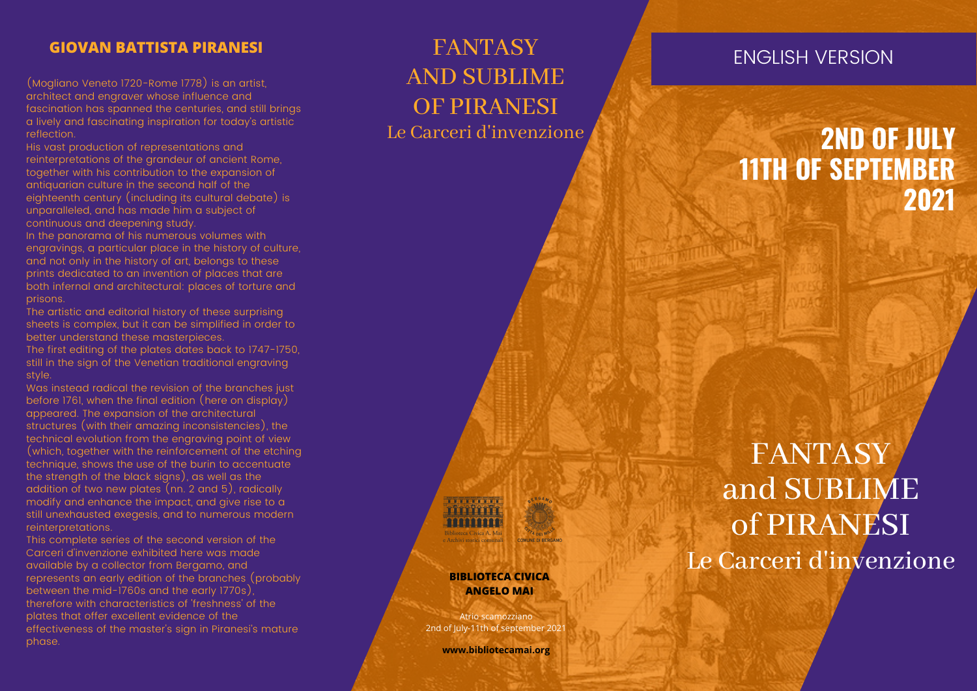## **GIOVAN BATTISTA PIRANESI**

(Mogliano Veneto 1/20-Rome 1/78) is an artist, architect and engraver whose influence and fascination has spanned the centuries, and still b rin g s a lively and fascinating inspiration for today's artistic reflection.

His vast production of representations and reinterpretations of the grandeur of ancient Rome, together with his contribution to the expansion of antiquarian culture in the second half of the eighteenth century (including its cultural debate) is unparalleled, and has made him a subject of continuous and deepening study.

In the panorama of his numerous volumes with engravings, a particular place in the history of culture, and not only in the history of art, belongs to these prints dedicated to an invention of places that are both infernal and architectural: places of torture and prisons.

The artistic and editorial history of these surprising sheets is complex, but it can be simplified in order to better understand these masterpieces. The first editing of the plates dates back to 1747-1750, still in the sign of the Venetian traditional engraving style.

Was instead radical the revision of the branches just before 1761, when the final edition (here on display) appeared. The expansion of the architectural structures (with their amazing inconsistencies), the technical evolution from the engraving point of view (which, together with the reinforcement of the etching technique, shows the use of the burin to accentuate the strength of the black signs), as well as the addition of two new plates (nn. 2 and 5), radically modify and enhance the impact, and give rise to a still unexhausted exegesis, and to numerous modern reinterpretations. phase. <sup>E</sup>

This complete series of the second version of the Carceri d'invenzione exhibited here was made available by a collector from Bergamo, and represents an early edition of the branches (probably between the mid-1760s and the early 1770s) therefore with characteristics of 'freshness' of the plates that offer excellent evidence of the effectiveness of the master's sign in Piranesi's mature

## **FANTASY** A N D S U B L I M E OF PIRANESI Le Carceri d'invenzione

## NGLISH VERSION

# **2 N D O F J U L Y** 11TH OF SEPTEMBER **2 0 2 1**

FANTASY a n d S U B L I M E of PIRANESI Le Carceri d'invenzione

#### **BIBLIOTECA CIVICA ANGELO MAI**

2nd of July-11th of september 202 Atrio scamozziano

**www.bibliotecamai.org**